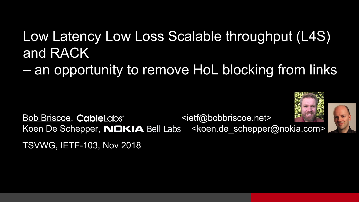#### Low Latency Low Loss Scalable throughput (L4S) and RACK

– an opportunity to remove HoL blocking from links

Bob Briscoe, CableLabs <ietf@bobbriscoe.net> Koen De Schepper, **NOKIA** Bell Labs <koen.de schepper@nokia.com>

TSVWG, IETF-103, Nov 2018



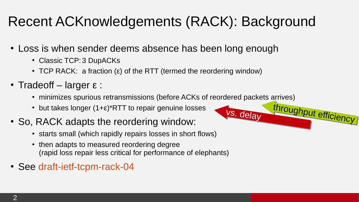#### Recent ACKnowledgements (RACK): Background

- Loss is when sender deems absence has been long enough
	- Classic TCP: 3 DupACKs
	- TCP RACK: a fraction (ε) of the RTT (termed the reordering window)
- Tradeoff larger  $\varepsilon$  :
	- minimizes spurious retransmissions (before ACKs of reordered packets arrives)
	- but takes longer  $(1+\epsilon)^*$ RTT to repair genuine losses
- So, RACK adapts the reordering window:
	- starts small (which rapidly repairs losses in short flows)
	- then adapts to measured reordering degree (rapid loss repair less critical for performance of elephants)
- See [draft-ietf-tcpm-rack-04](https://tools.ietf.org/html/draft-ietf-tcpm-rack)

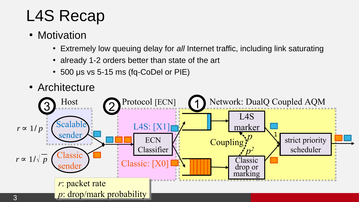## L4S Recap

- Motivation
	- Extremely low queuing delay for *all* Internet traffic, including link saturating
	- already 1-2 orders better than state of the art
	- 500 μs vs 5-15 ms (fq-CoDel or PIE)

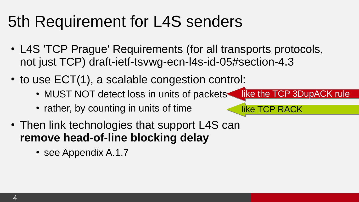### 5th Requirement for L4S senders

• L4S 'TCP Prague' Requirements (for all transports protocols, not just TCP) [draft-ietf-tsvwg-ecn-l4s-id-05#section-4.3](https://tools.ietf.org/html/draft-ietf-tsvwg-ecn-l4s-id-05#section-4.3)

like TCP RACK

- $\cdot$  to use ECT(1), a scalable congestion control:
	- MUST NOT detect loss in units of packets like the TCP 3DupACK rule
	- rather, by counting in units of time
- Then link technologies that support L4S can **remove head-of-line blocking delay** 
	- see Appendix A.1.7

 $\overline{4}$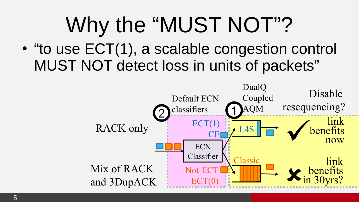# Why the "MUST NOT"?

• "to use ECT(1), a scalable congestion control MUST NOT detect loss in units of packets"

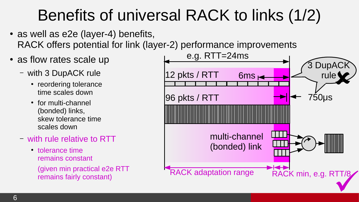## Benefits of universal RACK to links (1/2)

- $\cdot$  as well as e2e (layer-4) benefits, RACK offers potential for link (layer-2) performance improvements
- as flow rates scale up
	- with 3 DupACK rule
		- reordering tolerance time scales down
		- for multi-channel (bonded) links, skew tolerance time scales down
	- with rule relative to RTT
		- tolerance time remains constant (given min practical e2e RTT remains fairly constant)

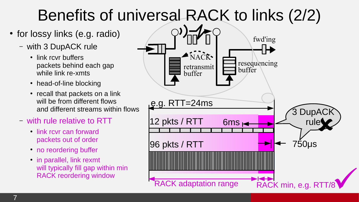# Benefits of universal RACK to links (2/2)

- for lossy links (e.g. radio)
	- with 3 DupACK rule
		- link rcvr buffers packets behind each gap while link re-xmts
		- head-of-line blocking
		- recall that packets on a link will be from different flows and different streams within flows
	- with rule relative to RTT
		- link rcvr can forward packets out of order
		- no reordering buffer
		- $\cdot$  in parallel, link rexmt will typically fill gap within min RACK reordering window